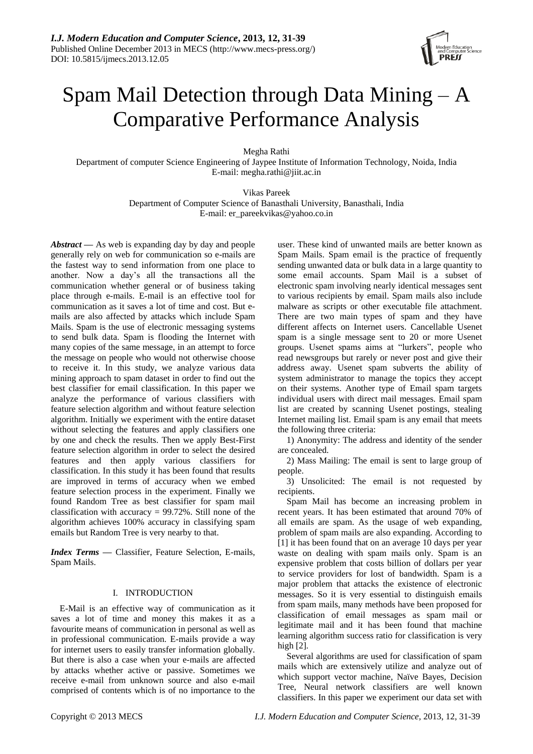

# Spam Mail Detection through Data Mining – A Comparative Performance Analysis

Megha Rathi

Department of computer Science Engineering of Jaypee Institute of Information Technology, Noida, India E-mail: megha.rathi@jiit.ac.in

> Vikas Pareek Department of Computer Science of Banasthali University, Banasthali, India E-mail: er\_pareekvikas@yahoo.co.in

*Abstract* **—** As web is expanding day by day and people generally rely on web for communication so e-mails are the fastest way to send information from one place to another. Now a day's all the transactions all the communication whether general or of business taking place through e-mails. E-mail is an effective tool for communication as it saves a lot of time and cost. But emails are also affected by attacks which include Spam Mails. Spam is the use of electronic messaging systems to send bulk data. Spam is flooding the Internet with many copies of the same message, in an attempt to force the message on people who would not otherwise choose to receive it. In this study, we analyze various data mining approach to spam dataset in order to find out the best classifier for email classification. In this paper we analyze the performance of various classifiers with feature selection algorithm and without feature selection algorithm. Initially we experiment with the entire dataset without selecting the features and apply classifiers one by one and check the results. Then we apply Best-First feature selection algorithm in order to select the desired features and then apply various classifiers for classification. In this study it has been found that results are improved in terms of accuracy when we embed feature selection process in the experiment. Finally we found Random Tree as best classifier for spam mail classification with accuracy  $= 99.72\%$ . Still none of the algorithm achieves 100% accuracy in classifying spam emails but Random Tree is very nearby to that.

*Index Terms* **—** Classifier, Feature Selection, E-mails, Spam Mails.

# I. INTRODUCTION

E-Mail is an effective way of communication as it saves a lot of time and money this makes it as a favourite means of communication in personal as well as in professional communication. E-mails provide a way for internet users to easily transfer information globally. But there is also a case when your e-mails are affected by attacks whether active or passive. Sometimes we receive e-mail from unknown source and also e-mail comprised of contents which is of no importance to the

user. These kind of unwanted mails are better known as Spam Mails. Spam email is the practice of frequently sending unwanted data or bulk data in a large quantity to some email accounts. Spam Mail is a subset of electronic spam involving nearly identical messages sent to various recipients by email. Spam mails also include malware as scripts or other executable file attachment. There are two main types of spam and they have different affects on Internet users. Cancellable Usenet spam is a single message sent to 20 or more Usenet groups. Usenet spams aims at "lurkers", people who read newsgroups but rarely or never post and give their address away. Usenet spam subverts the ability of system administrator to manage the topics they accept on their systems. Another type of Email spam targets individual users with direct mail messages. Email spam list are created by scanning Usenet postings, stealing Internet mailing list. Email spam is any email that meets the following three criteria:

1) Anonymity: The address and identity of the sender are concealed.

2) Mass Mailing: The email is sent to large group of people.

3) Unsolicited: The email is not requested by recipients.

Spam Mail has become an increasing problem in recent years. It has been estimated that around 70% of all emails are spam. As the usage of web expanding, problem of spam mails are also expanding. According to [1] it has been found that on an average 10 days per year waste on dealing with spam mails only. Spam is an expensive problem that costs billion of dollars per year to service providers for lost of bandwidth. Spam is a major problem that attacks the existence of electronic messages. So it is very essential to distinguish emails from spam mails, many methods have been proposed for classification of email messages as spam mail or legitimate mail and it has been found that machine learning algorithm success ratio for classification is very high [2].

Several algorithms are used for classification of spam mails which are extensively utilize and analyze out of which support vector machine, Na ve Bayes, Decision Tree, Neural network classifiers are well known classifiers. In this paper we experiment our data set with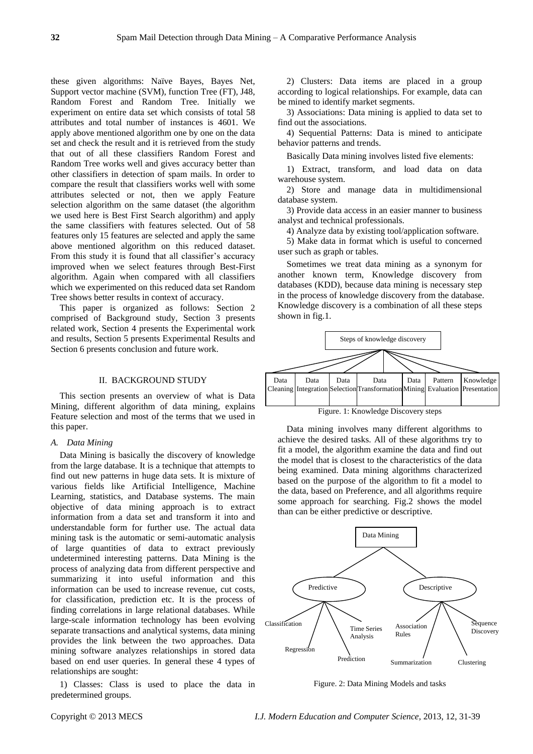these given algorithms: Naïve Bayes, Bayes Net, Support vector machine (SVM), function Tree (FT), J48, Random Forest and Random Tree. Initially we experiment on entire data set which consists of total 58 attributes and total number of instances is 4601. We apply above mentioned algorithm one by one on the data set and check the result and it is retrieved from the study that out of all these classifiers Random Forest and Random Tree works well and gives accuracy better than other classifiers in detection of spam mails. In order to compare the result that classifiers works well with some attributes selected or not, then we apply Feature selection algorithm on the same dataset (the algorithm we used here is Best First Search algorithm) and apply the same classifiers with features selected. Out of 58 features only 15 features are selected and apply the same above mentioned algorithm on this reduced dataset. From this study it is found that all classifier's accuracy improved when we select features through Best-First algorithm. Again when compared with all classifiers which we experimented on this reduced data set Random Tree shows better results in context of accuracy.

This paper is organized as follows: Section 2 comprised of Background study, Section 3 presents related work, Section 4 presents the Experimental work and results, Section 5 presents Experimental Results and Section 6 presents conclusion and future work.

# II. BACKGROUND STUDY

This section presents an overview of what is Data Mining, different algorithm of data mining, explains Feature selection and most of the terms that we used in this paper.

#### *A. Data Mining*

Data Mining is basically the discovery of knowledge from the large database. It is a technique that attempts to find out new patterns in huge data sets. It is mixture of various fields like Artificial Intelligence, Machine Learning, statistics, and Database systems. The main objective of data mining approach is to extract information from a data set and transform it into and understandable form for further use. The actual data mining task is the automatic or semi-automatic analysis of large quantities of data to extract previously undetermined interesting patterns. Data Mining is the process of analyzing data from different perspective and summarizing it into useful information and this information can be used to increase revenue, cut costs, for classification, prediction etc. It is the process of finding correlations in large relational databases. While large-scale information technology has been evolving separate transactions and analytical systems, data mining provides the link between the two approaches. Data mining software analyzes relationships in stored data based on end user queries. In general these 4 types of relationships are sought:

1) Classes: Class is used to place the data in predetermined groups.

2) Clusters: Data items are placed in a group according to logical relationships. For example, data can be mined to identify market segments.

3) Associations: Data mining is applied to data set to find out the associations.

4) Sequential Patterns: Data is mined to anticipate behavior patterns and trends.

Basically Data mining involves listed five elements:

1) Extract, transform, and load data on data warehouse system.

2) Store and manage data in multidimensional database system.

3) Provide data access in an easier manner to business analyst and technical professionals.

4) Analyze data by existing tool/application software.

5) Make data in format which is useful to concerned user such as graph or tables.

Sometimes we treat data mining as a synonym for another known term, Knowledge discovery from databases (KDD), because data mining is necessary step in the process of knowledge discovery from the database. Knowledge discovery is a combination of all these steps shown in fig.1.



Figure. 1: Knowledge Discovery steps

Data mining involves many different algorithms to achieve the desired tasks. All of these algorithms try to fit a model, the algorithm examine the data and find out the model that is closest to the characteristics of the data being examined. Data mining algorithms characterized based on the purpose of the algorithm to fit a model to the data, based on Preference, and all algorithms require some approach for searching. Fig.2 shows the model than can be either predictive or descriptive.



Figure. 2: Data Mining Models and tasks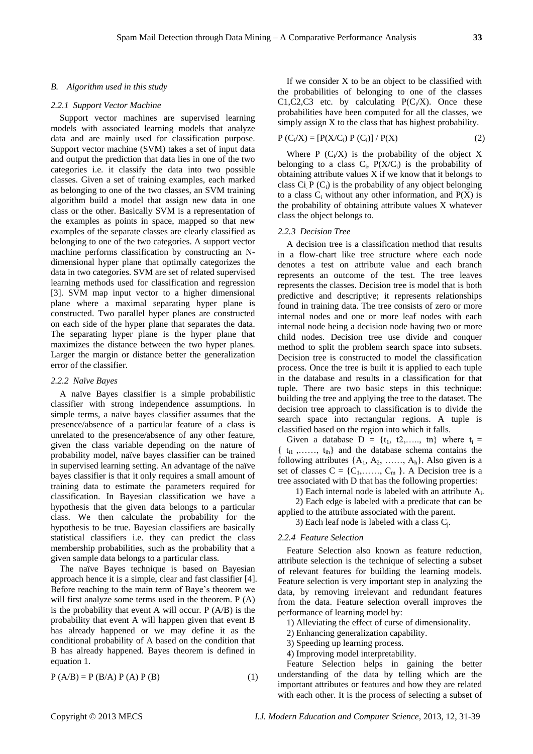#### *B. Algorithm used in this study*

#### *2.2.1 Support Vector Machine*

Support vector machines are supervised learning models with associated learning models that analyze data and are mainly used for classification purpose. Support vector machine (SVM) takes a set of input data and output the prediction that data lies in one of the two categories i.e. it classify the data into two possible classes. Given a set of training examples, each marked as belonging to one of the two classes, an SVM training algorithm build a model that assign new data in one class or the other. Basically SVM is a representation of the examples as points in space, mapped so that new examples of the separate classes are clearly classified as belonging to one of the two categories. A support vector machine performs classification by constructing an Ndimensional hyper plane that optimally categorizes the data in two categories. SVM are set of related supervised learning methods used for classification and regression [3]. SVM map input vector to a higher dimensional plane where a maximal separating hyper plane is constructed. Two parallel hyper planes are constructed on each side of the hyper plane that separates the data. The separating hyper plane is the hyper plane that maximizes the distance between the two hyper planes. Larger the margin or distance better the generalization error of the classifier.

#### *2.2.2 Naïve Bayes*

A naïve Bayes classifier is a simple probabilistic classifier with strong independence assumptions. In simple terms, a naïve bayes classifier assumes that the presence/absence of a particular feature of a class is unrelated to the presence/absence of any other feature, given the class variable depending on the nature of probability model, naïve bayes classifier can be trained in supervised learning setting. An advantage of the naïve bayes classifier is that it only requires a small amount of training data to estimate the parameters required for classification. In Bayesian classification we have a hypothesis that the given data belongs to a particular class. We then calculate the probability for the hypothesis to be true. Bayesian classifiers are basically statistical classifiers i.e. they can predict the class membership probabilities, such as the probability that a given sample data belongs to a particular class.

The naïve Bayes technique is based on Bayesian approach hence it is a simple, clear and fast classifier [4]. Before reaching to the main term of Baye's theorem we will first analyze some terms used in the theorem. P (A) is the probability that event A will occur. P (A/B) is the probability that event A will happen given that event B has already happened or we may define it as the conditional probability of A based on the condition that B has already happened. Bayes theorem is defined in equation 1.

$$
P (A/B) = P (B/A) P (A) P (B)
$$
 (1)

If we consider  $X$  to be an object to be classified with the probabilities of belonging to one of the classes C1,C2,C3 etc. by calculating  $P(C_i/X)$ . Once these probabilities have been computed for all the classes, we simply assign X to the class that has highest probability.

$$
P(C_i/X) = [P(X/C_i) P(C_i)] / P(X)
$$
 (2)

Where  $P(C_i/X)$  is the probability of the object X belonging to a class  $C_i$ ,  $P(X/C_i)$  is the probability of obtaining attribute values X if we know that it belongs to class Ci $P(C_i)$  is the probability of any object belonging to a class  $C_i$  without any other information, and  $P(X)$  is the probability of obtaining attribute values X whatever class the object belongs to.

# *2.2.3 Decision Tree*

A decision tree is a classification method that results in a flow-chart like tree structure where each node denotes a test on attribute value and each branch represents an outcome of the test. The tree leaves represents the classes. Decision tree is model that is both predictive and descriptive; it represents relationships found in training data. The tree consists of zero or more internal nodes and one or more leaf nodes with each internal node being a decision node having two or more child nodes. Decision tree use divide and conquer method to split the problem search space into subsets. Decision tree is constructed to model the classification process. Once the tree is built it is applied to each tuple in the database and results in a classification for that tuple. There are two basic steps in this technique: building the tree and applying the tree to the dataset. The decision tree approach to classification is to divide the search space into rectangular regions. A tuple is classified based on the region into which it falls.

Given a database  $D = \{t_1, t_2, \ldots, t_n\}$  where  $t_i =$  $\{t_{i1}, \ldots, t_{ih}\}$  and the database schema contains the following attributes  $\{A_1, A_2, \ldots, A_h\}$ . Also given is a set of classes  $C = \{C_1, \ldots, C_m\}$ . A Decision tree is a tree associated with D that has the following properties:

1) Each internal node is labeled with an attribute  $A_i$ .

2) Each edge is labeled with a predicate that can be applied to the attribute associated with the parent.

3) Each leaf node is labeled with a class  $C_j$ .

#### *2.2.4 Feature Selection*

Feature Selection also known as feature reduction, attribute selection is the technique of selecting a subset of relevant features for building the learning models. Feature selection is very important step in analyzing the data, by removing irrelevant and redundant features from the data. Feature selection overall improves the performance of learning model by:

1) Alleviating the effect of curse of dimensionality.

2) Enhancing generalization capability.

- 3) Speeding up learning process.
- 4) Improving model interpretability.

Feature Selection helps in gaining the better understanding of the data by telling which are the important attributes or features and how they are related with each other. It is the process of selecting a subset of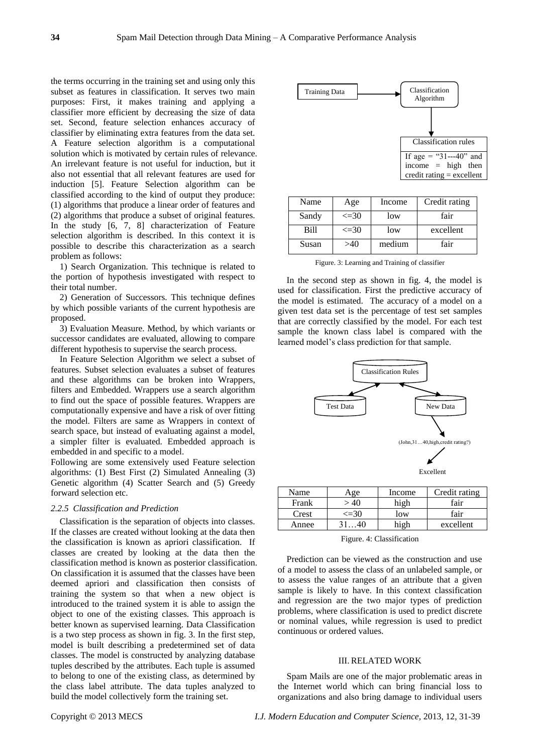the terms occurring in the training set and using only this subset as features in classification. It serves two main purposes: First, it makes training and applying a classifier more efficient by decreasing the size of data set. Second, feature selection enhances accuracy of classifier by eliminating extra features from the data set. A Feature selection algorithm is a computational solution which is motivated by certain rules of relevance. An irrelevant feature is not useful for induction, but it also not essential that all relevant features are used for induction [5]. Feature Selection algorithm can be classified according to the kind of output they produce: (1) algorithms that produce a linear order of features and (2) algorithms that produce a subset of original features. In the study [6, 7, 8] characterization of Feature selection algorithm is described. In this context it is possible to describe this characterization as a search problem as follows:

1) Search Organization. This technique is related to the portion of hypothesis investigated with respect to their total number.

2) Generation of Successors. This technique defines by which possible variants of the current hypothesis are proposed.

3) Evaluation Measure. Method, by which variants or successor candidates are evaluated, allowing to compare different hypothesis to supervise the search process.

In Feature Selection Algorithm we select a subset of features. Subset selection evaluates a subset of features and these algorithms can be broken into Wrappers, filters and Embedded. Wrappers use a search algorithm to find out the space of possible features. Wrappers are computationally expensive and have a risk of over fitting the model. Filters are same as Wrappers in context of search space, but instead of evaluating against a model, a simpler filter is evaluated. Embedded approach is embedded in and specific to a model.

Following are some extensively used Feature selection algorithms: (1) Best First (2) Simulated Annealing (3) Genetic algorithm (4) Scatter Search and (5) Greedy forward selection etc.

#### *2.2.5 Classification and Prediction*

Classification is the separation of objects into classes. If the classes are created without looking at the data then the classification is known as apriori classification. If classes are created by looking at the data then the classification method is known as posterior classification. On classification it is assumed that the classes have been deemed apriori and classification then consists of training the system so that when a new object is introduced to the trained system it is able to assign the object to one of the existing classes. This approach is better known as supervised learning. Data Classification is a two step process as shown in fig. 3. In the first step, model is built describing a predetermined set of data classes. The model is constructed by analyzing database tuples described by the attributes. Each tuple is assumed to belong to one of the existing class, as determined by the class label attribute. The data tuples analyzed to build the model collectively form the training set.



| Name  | Age        | Income | Credit rating |
|-------|------------|--------|---------------|
| Sandy | $\leq$ =30 | low    | fair          |
| Bill  | $\leq$ =30 | low    | excellent     |
| Susan | >40        | medium | fair          |

Figure. 3: Learning and Training of classifier

In the second step as shown in fig. 4, the model is used for classification. First the predictive accuracy of the model is estimated. The accuracy of a model on a given test data set is the percentage of test set samples that are correctly classified by the model. For each test sample the known class label is compared with the learned model's class prediction for that sample.



| Name  | оe.        | Income | Credit rating |
|-------|------------|--------|---------------|
| Frank |            | high   | fair          |
| Crest | $\leq$ =30 | low    | fair          |
| Annee |            |        | excellent     |

Figure. 4: Classification

Prediction can be viewed as the construction and use of a model to assess the class of an unlabeled sample, or to assess the value ranges of an attribute that a given sample is likely to have. In this context classification and regression are the two major types of prediction problems, where classification is used to predict discrete or nominal values, while regression is used to predict continuous or ordered values.

#### III. RELATED WORK

Spam Mails are one of the major problematic areas in the Internet world which can bring financial loss to organizations and also bring damage to individual users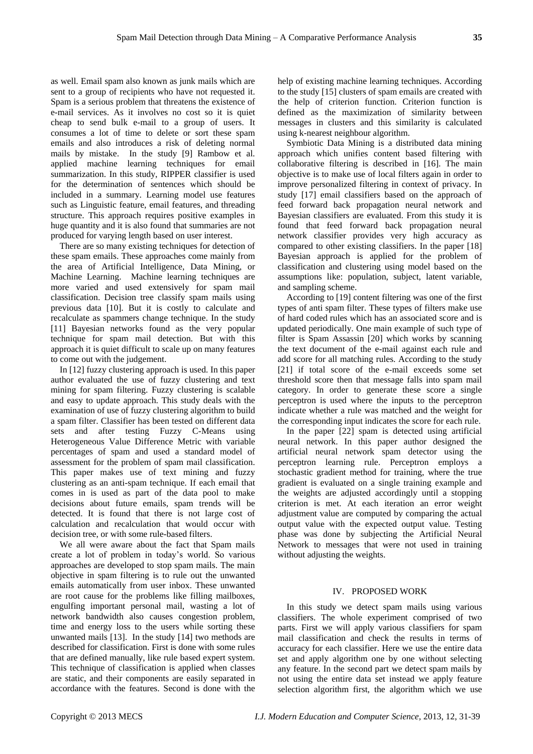as well. Email spam also known as junk mails which are sent to a group of recipients who have not requested it. Spam is a serious problem that threatens the existence of e-mail services. As it involves no cost so it is quiet cheap to send bulk e-mail to a group of users. It consumes a lot of time to delete or sort these spam emails and also introduces a risk of deleting normal mails by mistake. In the study [9] Rambow et al. applied machine learning techniques for email summarization. In this study, RIPPER classifier is used for the determination of sentences which should be included in a summary. Learning model use features such as Linguistic feature, email features, and threading structure. This approach requires positive examples in huge quantity and it is also found that summaries are not produced for varying length based on user interest.

There are so many existing techniques for detection of these spam emails. These approaches come mainly from the area of Artificial Intelligence, Data Mining, or Machine Learning. Machine learning techniques are more varied and used extensively for spam mail classification. Decision tree classify spam mails using previous data [10]. But it is costly to calculate and recalculate as spammers change technique. In the study [11] Bayesian networks found as the very popular technique for spam mail detection. But with this approach it is quiet difficult to scale up on many features to come out with the judgement.

In [12] fuzzy clustering approach is used. In this paper author evaluated the use of fuzzy clustering and text mining for spam filtering. Fuzzy clustering is scalable and easy to update approach. This study deals with the examination of use of fuzzy clustering algorithm to build a spam filter. Classifier has been tested on different data sets and after testing Fuzzy C-Means using Heterogeneous Value Difference Metric with variable percentages of spam and used a standard model of assessment for the problem of spam mail classification. This paper makes use of text mining and fuzzy clustering as an anti-spam technique. If each email that comes in is used as part of the data pool to make decisions about future emails, spam trends will be detected. It is found that there is not large cost of calculation and recalculation that would occur with decision tree, or with some rule-based filters.

We all were aware about the fact that Spam mails create a lot of problem in today's world. So various approaches are developed to stop spam mails. The main objective in spam filtering is to rule out the unwanted emails automatically from user inbox. These unwanted are root cause for the problems like filling mailboxes, engulfing important personal mail, wasting a lot of network bandwidth also causes congestion problem, time and energy loss to the users while sorting these unwanted mails [13]. In the study [14] two methods are described for classification. First is done with some rules that are defined manually, like rule based expert system. This technique of classification is applied when classes are static, and their components are easily separated in accordance with the features. Second is done with the

help of existing machine learning techniques. According to the study [15] clusters of spam emails are created with the help of criterion function. Criterion function is defined as the maximization of similarity between messages in clusters and this similarity is calculated using k-nearest neighbour algorithm.

Symbiotic Data Mining is a distributed data mining approach which unifies content based filtering with collaborative filtering is described in [16]. The main objective is to make use of local filters again in order to improve personalized filtering in context of privacy. In study [17] email classifiers based on the approach of feed forward back propagation neural network and Bayesian classifiers are evaluated. From this study it is found that feed forward back propagation neural network classifier provides very high accuracy as compared to other existing classifiers. In the paper [18] Bayesian approach is applied for the problem of classification and clustering using model based on the assumptions like: population, subject, latent variable, and sampling scheme.

According to [19] content filtering was one of the first types of anti spam filter. These types of filters make use of hard coded rules which has an associated score and is updated periodically. One main example of such type of filter is Spam Assassin [20] which works by scanning the text document of the e-mail against each rule and add score for all matching rules. According to the study [21] if total score of the e-mail exceeds some set threshold score then that message falls into spam mail category. In order to generate these score a single perceptron is used where the inputs to the perceptron indicate whether a rule was matched and the weight for the corresponding input indicates the score for each rule.

In the paper [22] spam is detected using artificial neural network. In this paper author designed the artificial neural network spam detector using the perceptron learning rule. Perceptron employs a stochastic gradient method for training, where the true gradient is evaluated on a single training example and the weights are adjusted accordingly until a stopping criterion is met. At each iteration an error weight adjustment value are computed by comparing the actual output value with the expected output value. Testing phase was done by subjecting the Artificial Neural Network to messages that were not used in training without adjusting the weights.

# IV. PROPOSED WORK

In this study we detect spam mails using various classifiers. The whole experiment comprised of two parts. First we will apply various classifiers for spam mail classification and check the results in terms of accuracy for each classifier. Here we use the entire data set and apply algorithm one by one without selecting any feature. In the second part we detect spam mails by not using the entire data set instead we apply feature selection algorithm first, the algorithm which we use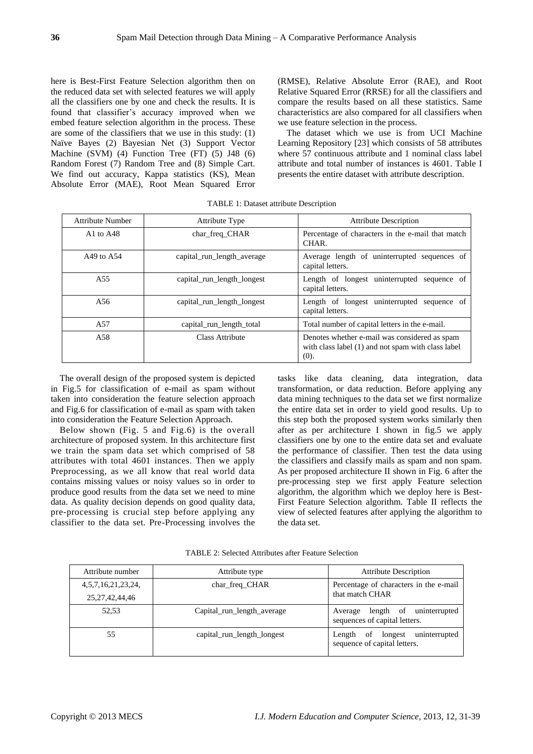here is Best-First Feature Selection algorithm then on the reduced data set with selected features we will apply all the classifiers one by one and check the results. It is found that classifier's accuracy improved when we embed feature selection algorithm in the process. These are some of the classifiers that we use in this study: (1) Naïve Bayes (2) Bayesian Net (3) Support Vector Machine (SVM) (4) Function Tree (FT) (5) J48 (6) Random Forest (7) Random Tree and (8) Simple Cart. We find out accuracy, Kappa statistics (KS), Mean Absolute Error (MAE), Root Mean Squared Error (RMSE), Relative Absolute Error (RAE), and Root Relative Squared Error (RRSE) for all the classifiers and compare the results based on all these statistics. Same characteristics are also compared for all classifiers when we use feature selection in the process.

The dataset which we use is from UCI Machine Learning Repository [23] which consists of 58 attributes where 57 continuous attribute and 1 nominal class label attribute and total number of instances is 4601. Table I presents the entire dataset with attribute description.

| Attribute Number                  | Attribute Type             | <b>Attribute Description</b>                                                                                |
|-----------------------------------|----------------------------|-------------------------------------------------------------------------------------------------------------|
| A <sub>1</sub> to A <sub>48</sub> | char_freq_CHAR             | Percentage of characters in the e-mail that match<br>CHAR.                                                  |
| A49 to $A54$                      | capital_run_length_average | Average length of uninterrupted sequences of<br>capital letters.                                            |
| A <sub>55</sub>                   | capital run length longest | Length of longest uninterrupted sequence of<br>capital letters.                                             |
| A56                               | capital run length longest | Length of longest uninterrupted sequence of<br>capital letters.                                             |
| A57                               | capital_run_length_total   | Total number of capital letters in the e-mail.                                                              |
| A58                               | Class Attribute            | Denotes whether e-mail was considered as spam<br>with class label (1) and not spam with class label<br>(0). |

TABLE 1: Dataset attribute Description

The overall design of the proposed system is depicted in Fig.5 for classification of e-mail as spam without taken into consideration the feature selection approach and Fig.6 for classification of e-mail as spam with taken into consideration the Feature Selection Approach.

Below shown (Fig. 5 and Fig.6) is the overall architecture of proposed system. In this architecture first we train the spam data set which comprised of 58 attributes with total 4601 instances. Then we apply Preprocessing, as we all know that real world data contains missing values or noisy values so in order to produce good results from the data set we need to mine data. As quality decision depends on good quality data, pre-processing is crucial step before applying any classifier to the data set. Pre-Processing involves the

tasks like data cleaning, data integration, data transformation, or data reduction. Before applying any data mining techniques to the data set we first normalize the entire data set in order to yield good results. Up to this step both the proposed system works similarly then after as per architecture I shown in fig.5 we apply classifiers one by one to the entire data set and evaluate the performance of classifier. Then test the data using the classifiers and classify mails as spam and non spam. As per proposed architecture II shown in Fig. 6 after the pre-processing step we first apply Feature selection algorithm, the algorithm which we deploy here is Best-First Feature Selection algorithm. Table II reflects the view of selected features after applying the algorithm to the data set.

| Attribute number         | Attribute type             | <b>Attribute Description</b>                                          |  |
|--------------------------|----------------------------|-----------------------------------------------------------------------|--|
| 4, 5, 7, 16, 21, 23, 24, | char freq CHAR             | Percentage of characters in the e-mail                                |  |
| 25, 27, 42, 44, 46       |                            | that match CHAR                                                       |  |
| 52.53                    | Capital run length average | Average length of uninterrupted<br>sequences of capital letters.      |  |
| 55                       | capital run length longest | uninterrupted<br>of longest<br>Length<br>sequence of capital letters. |  |

TABLE 2: Selected Attributes after Feature Selection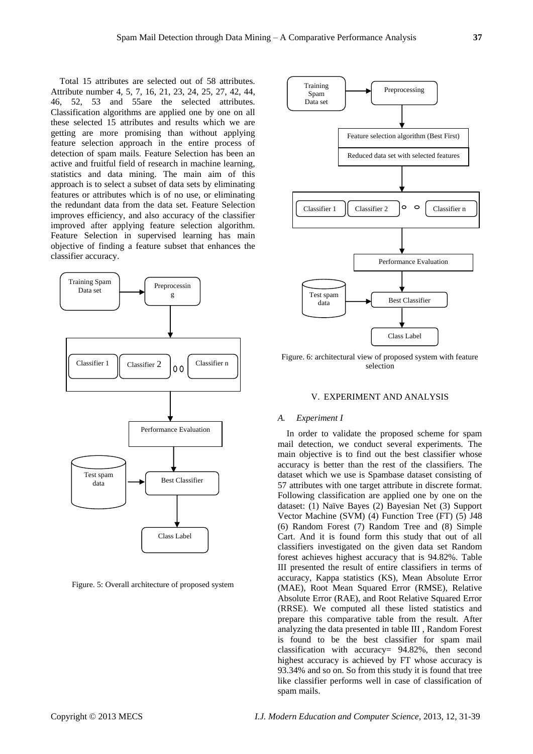Total 15 attributes are selected out of 58 attributes. Attribute number 4, 5, 7, 16, 21, 23, 24, 25, 27, 42, 44, 46, 52, 53 and 55are the selected attributes. Classification algorithms are applied one by one on all these selected 15 attributes and results which we are getting are more promising than without applying feature selection approach in the entire process of detection of spam mails. Feature Selection has been an active and fruitful field of research in machine learning, statistics and data mining. The main aim of this approach is to select a subset of data sets by eliminating features or attributes which is of no use, or eliminating the redundant data from the data set. Feature Selection improves efficiency, and also accuracy of the classifier improved after applying feature selection algorithm. Feature Selection in supervised learning has main objective of finding a feature subset that enhances the classifier accuracy.



Figure. 5: Overall architecture of proposed system



Figure. 6: architectural view of proposed system with feature selection

# V. EXPERIMENT AND ANALYSIS

## *A. Experiment I*

In order to validate the proposed scheme for spam mail detection, we conduct several experiments. The main objective is to find out the best classifier whose accuracy is better than the rest of the classifiers. The dataset which we use is Spambase dataset consisting of 57 attributes with one target attribute in discrete format. Following classification are applied one by one on the dataset: (1) Na  $\ddot{v}$ e Bayes (2) Bayesian Net (3) Support Vector Machine (SVM) (4) Function Tree (FT) (5) J48 (6) Random Forest (7) Random Tree and (8) Simple Cart. And it is found form this study that out of all classifiers investigated on the given data set Random forest achieves highest accuracy that is 94.82%. Table III presented the result of entire classifiers in terms of accuracy, Kappa statistics (KS), Mean Absolute Error (MAE), Root Mean Squared Error (RMSE), Relative Absolute Error (RAE), and Root Relative Squared Error (RRSE). We computed all these listed statistics and prepare this comparative table from the result. After analyzing the data presented in table III , Random Forest is found to be the best classifier for spam mail classification with accuracy= 94.82%, then second highest accuracy is achieved by FT whose accuracy is 93.34% and so on. So from this study it is found that tree like classifier performs well in case of classification of spam mails.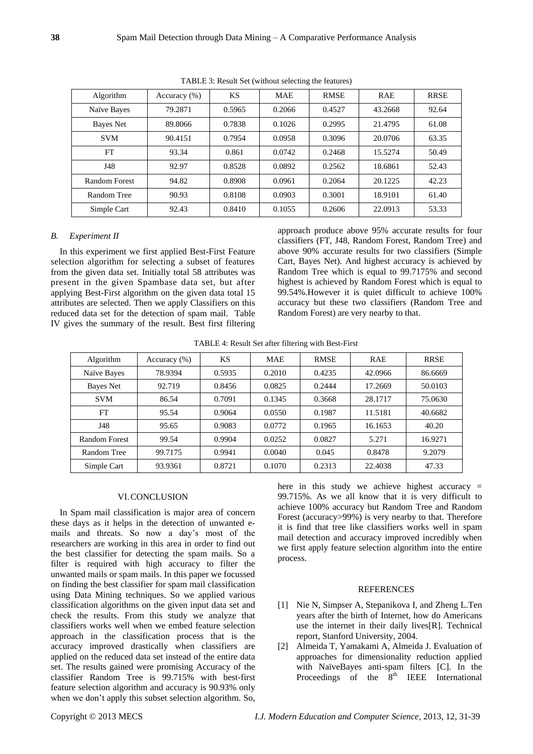| Algorithm     | Accuracy $(\% )$ | KS     | <b>MAE</b> | <b>RMSE</b> | <b>RAE</b> | <b>RRSE</b> |
|---------------|------------------|--------|------------|-------------|------------|-------------|
| Na we Bayes   | 79.2871          | 0.5965 | 0.2066     | 0.4527      | 43.2668    | 92.64       |
| Bayes Net     | 89.8066          | 0.7838 | 0.1026     | 0.2995      | 21.4795    | 61.08       |
| <b>SVM</b>    | 90.4151          | 0.7954 | 0.0958     | 0.3096      | 20.0706    | 63.35       |
| FT            | 93.34            | 0.861  | 0.0742     | 0.2468      | 15.5274    | 50.49       |
| J48           | 92.97            | 0.8528 | 0.0892     | 0.2562      | 18.6861    | 52.43       |
| Random Forest | 94.82            | 0.8908 | 0.0961     | 0.2064      | 20.1225    | 42.23       |
| Random Tree   | 90.93            | 0.8108 | 0.0903     | 0.3001      | 18.9101    | 61.40       |
| Simple Cart   | 92.43            | 0.8410 | 0.1055     | 0.2606      | 22.0913    | 53.33       |

TABLE 3: Result Set (without selecting the features)

# *B. Experiment II*

In this experiment we first applied Best-First Feature selection algorithm for selecting a subset of features from the given data set. Initially total 58 attributes was present in the given Spambase data set, but after applying Best-First algorithm on the given data total 15 attributes are selected. Then we apply Classifiers on this reduced data set for the detection of spam mail. Table IV gives the summary of the result. Best first filtering approach produce above 95% accurate results for four classifiers (FT, J48, Random Forest, Random Tree) and above 90% accurate results for two classifiers (Simple Cart, Bayes Net). And highest accuracy is achieved by Random Tree which is equal to 99.7175% and second highest is achieved by Random Forest which is equal to 99.54%.However it is quiet difficult to achieve 100% accuracy but these two classifiers (Random Tree and Random Forest) are very nearby to that.

TABLE 4: Result Set after filtering with Best-First

| Algorithm     | Accuracy $(\% )$ | KS     | <b>MAE</b> | <b>RMSE</b> | <b>RAE</b> | <b>RRSE</b> |
|---------------|------------------|--------|------------|-------------|------------|-------------|
| Na ive Bayes  | 78.9394          | 0.5935 | 0.2010     | 0.4235      | 42.0966    | 86.6669     |
| Bayes Net     | 92.719           | 0.8456 | 0.0825     | 0.2444      | 17.2669    | 50.0103     |
| <b>SVM</b>    | 86.54            | 0.7091 | 0.1345     | 0.3668      | 28.1717    | 75.0630     |
| FT            | 95.54            | 0.9064 | 0.0550     | 0.1987      | 11.5181    | 40.6682     |
| J48           | 95.65            | 0.9083 | 0.0772     | 0.1965      | 16.1653    | 40.20       |
| Random Forest | 99.54            | 0.9904 | 0.0252     | 0.0827      | 5.271      | 16.9271     |
| Random Tree   | 99.7175          | 0.9941 | 0.0040     | 0.045       | 0.8478     | 9.2079      |
| Simple Cart   | 93.9361          | 0.8721 | 0.1070     | 0.2313      | 22.4038    | 47.33       |

# VI.CONCLUSION

In Spam mail classification is major area of concern these days as it helps in the detection of unwanted emails and threats. So now a day's most of the researchers are working in this area in order to find out the best classifier for detecting the spam mails. So a filter is required with high accuracy to filter the unwanted mails or spam mails. In this paper we focussed on finding the best classifier for spam mail classification using Data Mining techniques. So we applied various classification algorithms on the given input data set and check the results. From this study we analyze that classifiers works well when we embed feature selection approach in the classification process that is the accuracy improved drastically when classifiers are applied on the reduced data set instead of the entire data set. The results gained were promising Accuracy of the classifier Random Tree is 99.715% with best-first feature selection algorithm and accuracy is 90.93% only when we don't apply this subset selection algorithm. So,

here in this study we achieve highest accuracy  $=$ 99.715%. As we all know that it is very difficult to achieve 100% accuracy but Random Tree and Random Forest (accuracy>99%) is very nearby to that. Therefore it is find that tree like classifiers works well in spam mail detection and accuracy improved incredibly when we first apply feature selection algorithm into the entire process.

# **REFERENCES**

- [1] Nie N, Simpser A, Stepanikova I, and Zheng L.Ten years after the birth of Internet, how do Americans use the internet in their daily lives[R]. Technical report, Stanford University, 2004.
- [2] Almeida T, Yamakami A, Almeida J. Evaluation of approaches for dimensionality reduction applied with Na veBayes anti-spam filters [C]. In the Proceedings of the  $8<sup>th</sup>$  IEEE International